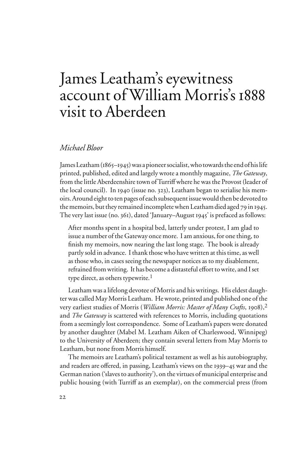# James Leatham's eyewitness account of William Morris's 1888 visit to Aberdeen

# *Michael Bloor*

James Leatham (1865–1945) was a pioneer socialist, who towards the end of his life printed, published, edited and largely wrote a monthly magazine, *The Gateway*, from the little Aberdeenshire town of Turriff where he was the Provost (leader of the local council). In 1940 (issue no. 323), Leatham began to serialise his memoirs. Around eight to ten pages of each subsequent issue would then be devoted to the memoirs, but they remained incomplete when Leatham died aged 79 in 1945. The very last issue (no. 361), dated 'January–August 1945' is prefaced as follows:

After months spent in a hospital bed, latterly under protest, I am glad to issue a number of the Gateway once more. I am anxious, for one thing, to finish my memoirs, now nearing the last long stage. The book is already partly sold in advance. I thank those who have written at this time, as well as those who, in cases seeing the newspaper notices as to my disablement, refrained from writing. It has become a distasteful effort to write, and I set type direct, as others typewrite.<sup>1</sup>

Leatham was a lifelong devotee of Morris and his writings. His eldest daughter was called May Morris Leatham. He wrote, printed and published one of the very earliest studies of Morris (*William Morris: Master of Many Crafts*, 1908),2 and *The Gateway* is scattered with references to Morris, including quotations from a seemingly lost correspondence. Some of Leatham's papers were donated by another daughter (Mabel M. Leatham Aiken of Charleswood, Winnipeg) to the University of Aberdeen; they contain several letters from May Morris to Leatham, but none from Morris himself.

The memoirs are Leatham's political testament as well as his autobiography, and readers are offered, in passing, Leatham's views on the 1939–45 war and the German nation ('slaves to authority'), on the virtues of municipal enterprise and public housing (with Turriff as an exemplar), on the commercial press (from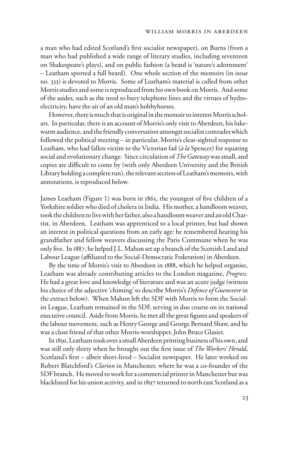a man who had edited Scotland's first socialist newspaper), on Burns (from a man who had published a wide range of literary studies, including seventeen on Shakespeare's plays), and on public fashion (a beard is 'nature's adornment' – Leatham sported a full beard). One whole section of the memoirs (in issue no. 333) is devoted to Morris. Some of Leatham's material is culled from other Morris studies and some is reproduced from his own book on Morris. And some of the asides, such as the need to bury telephone lines and the virtues of hydroelectricity, have the air of an old man's hobbyhorses.

However, there is much that is original in the memoir to interest Morris scholars. In particular, there is an account of Morris's only visit to Aberdeen, his lukewarm audience, and the friendly conversation amongst socialist comrades which followed the political meeting – in particular, Morris's clear-sighted response to Leatham, who had fallen victim to the Victorian fad (*à la* Spencer) for equating social and evolutionary change. Since circulation of *The Gateway* was small, and copies are difficult to come by (with only Aberdeen University and the British Library holding a complete run), the relevant section of Leatham's memoirs, with annotations, is reproduced below.

James Leatham (Figure 1) was born in 1865, the youngest of five children of a Yorkshire soldier who died of cholera in India. His mother, a handloom weaver, took the children to live with her father, also a handloom weaver and an old Chartist, in Aberdeen. Leatham was apprenticed to a local printer, but had shown an interest in political questions from an early age: he remembered hearing his grandfather and fellow weavers discussing the Paris Commune when he was only Wve. In 1887, he helped J.L. Mahon set up a branch of the Scottish Land and Labour League (affiliated to the Social-Democratic Federation) in Aberdeen.

By the time of Morris's visit to Aberdeen in 1888, which he helped organise, Leatham was already contributing articles to the London magazine, *Progress*. He had a great love and knowledge of literature and was an acute judge (witness his choice of the adjective 'chiming' to describe Morris's *Defence of Guenevere* in the extract below). When Mahon left the SDF with Morris to form the Socialist League, Leatham remained in the SDF, serving in due course on its national executive council. Aside from Morris, he met all the great figures and speakers of the labour movement, such as Henry George and George Bernard Shaw, and he was a close friend of that other Morris-worshipper, John Bruce Glasier.

In 1891, Leatham took over a small Aberdeen printing business of his own, and was still only thirty when he brought out the first issue of *The Workers' Herald*, Scotland's first – albeit short-lived – Socialist newspaper. He later worked on Robert Blatchford's *Clarion* in Manchester, where he was a co-founder of the SDF branch. He moved to work for a commercial printer in Manchester but was blacklisted for his union activity, and in 1897 returned to north east Scotland as a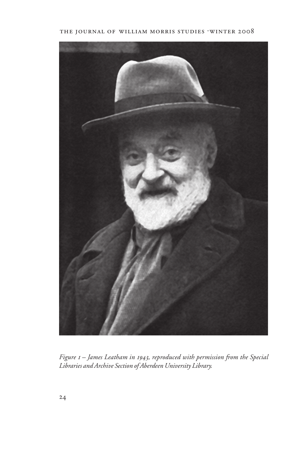## THE JOURNAL OF WILLIAM MORRIS STUDIES .WINTER 2008



*Figure 1 – James Leatham in 1943, reproduced with permission from the Special Libraries and Archive Section of Aberdeen University Library.*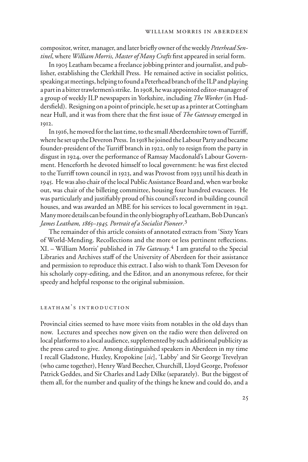compositor, writer, manager, and later briefly owner of the weekly *Peterhead Sentinel*, where *William Morris, Master of Many Crafts* first appeared in serial form.

In 1905 Leatham became a freelance jobbing printer and journalist, and publisher, establishing the Clerkhill Press. He remained active in socialist politics, speaking at meetings, helping to found a Peterhead branch of the ILP and playing a part in a bitter trawlermen's strike. In 1908, he was appointed editor-manager of a group of weekly ILP newspapers in Yorkshire, including *The Worker* (in Huddersfield). Resigning on a point of principle, he set up as a printer at Cottingham near Hull, and it was from there that the first issue of *The Gateway* emerged in 1912.

In 1916, he moved for the last time, to the small Aberdeenshire town of Turriff, where he set up the Deveron Press. In 1918 he joined the Labour Party and became founder-president of the Turriff branch in 1922, only to resign from the party in disgust in 1924, over the performance of Ramsay Macdonald's Labour Government. Henceforth he devoted himself to local government: he was first elected to the Turriff town council in 1923, and was Provost from 1933 until his death in 1945. He was also chair of the local Public Assistance Board and, when war broke out, was chair of the billeting committee, housing four hundred evacuees. He was particularly and justifiably proud of his council's record in building council houses, and was awarded an MBE for his services to local government in 1942. Many more details can be found in the only biography of Leatham, Bob Duncan's *James Leatham, 1865–1945. Portrait of a Socialist Pioneer*. 3

The remainder of this article consists of annotated extracts from 'Sixty Years of World-Mending. Recollections and the more or less pertinent reflections. XI. – William Morris' published in *The Gateway*. 4 I am grateful to the Special Libraries and Archives staff of the University of Aberdeen for their assistance and permission to reproduce this extract. I also wish to thank Tom Deveson for his scholarly copy-editing, and the Editor, and an anonymous referee, for their speedy and helpful response to the original submission.

## leatham's introduction

Provincial cities seemed to have more visits from notables in the old days than now. Lectures and speeches now given on the radio were then delivered on local platforms to a local audience, supplemented by such additional publicity as the press cared to give. Among distinguished speakers in Aberdeen in my time I recall Gladstone, Huxley, Kropokine [*sic*], 'Labby' and Sir George Trevelyan (who came together), Henry Ward Beecher, Churchill, Lloyd George, Professor Patrick Geddes, and Sir Charles and Lady Dilke (separately). But the biggest of them all, for the number and quality of the things he knew and could do, and a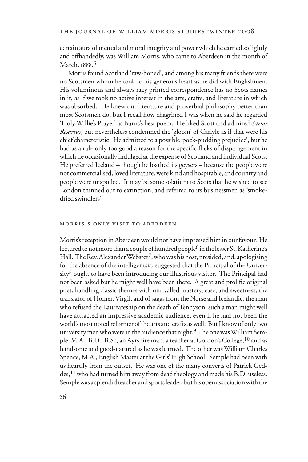certain aura of mental and moral integrity and power which he carried so lightly and offhandedly, was William Morris, who came to Aberdeen in the month of March, 1888. 5

Morris found Scotland 'raw-boned', and among his many friends there were no Scotsmen whom he took to his generous heart as he did with Englishmen. His voluminous and always racy printed correspondence has no Scots names in it, as if we took no active interest in the arts, crafts, and literature in which was absorbed. He knew our literature and proverbial philosophy better than most Scotsmen do; but I recall how chagrined I was when he said he regarded 'Holy Willie's Prayer' as Burns's best poem. He liked Scott and admired *Sartor Resartus*, but nevertheless condemned the 'gloom' of Carlyle as if that were his chief characteristic. He admitted to a possible 'pock-pudding prejudice', but he had as a rule only too good a reason for the specific flicks of disparagement in which he occasionally indulged at the expense of Scotland and individual Scots. He preferred Iceland – though he loathed its geysers – because the people were not commercialised, loved literature, were kind and hospitable, and country and people were unspoiled. It may be some solatium to Scots that he wished to see London thinned out to extinction, and referred to its businessmen as 'smokedried swindlers'.

## morris's only visit to aberdeen

Morris's reception in Aberdeen would not have impressed him in our favour. He lectured to not more than a couple of hundred people<sup>6</sup> in the lesser St. Katherine's Hall. The Rev. Alexander Webster7, who was his host, presided, and, apologising for the absence of the intelligentsia, suggested that the Principal of the Univer $sity<sup>8</sup>$  ought to have been introducing our illustrious visitor. The Principal had not been asked but he might well have been there. A great and prolific original poet, handling classic themes with unrivalled mastery, ease, and sweetness, the translator of Homer, Virgil, and of sagas from the Norse and Icelandic, the man who refused the Laureateship on the death of Tennyson, such a man might well have attracted an impressive academic audience, even if he had not been the world's most noted reformer of the arts and crafts as well. But I know of only two university men who were in the audience that night.<sup>9</sup> The one was William Semple, M.A., B.D., B.Sc, an Ayrshire man, a teacher at Gordon's College, <sup>10</sup> and as handsome and good-natured as he was learned. The other was William Charles Spence, M.A., English Master at the Girls' High School. Semple had been with us heartily from the outset. He was one of the many converts of Patrick Geddes,11 who had turned him away from dead theology and made his B.D. useless. Semple was a splendid teacher and sports leader, but his open association with the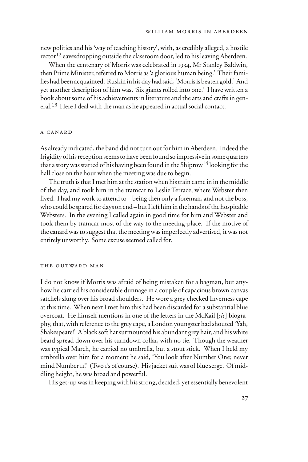new politics and his 'way of teaching history', with, as credibly alleged, a hostile  $rector<sup>12</sup>$  eavesdropping outside the classroom door, led to his leaving Aberdeen.

When the centenary of Morris was celebrated in 1934, Mr Stanley Baldwin, then Prime Minister, referred to Morris as 'a glorious human being.' Their families had been acquainted. Ruskin in his day had said, 'Morris is beaten gold.' And yet another description of him was, 'Six giants rolled into one.' I have written a book about some of his achievements in literature and the arts and crafts in general.<sup>13</sup> Here I deal with the man as he appeared in actual social contact.

#### a canard

As already indicated, the band did not turn out for him in Aberdeen. Indeed the frigidity of his reception seems to have been found so impressive in some quarters that a story was started of his having been found in the Shiprow<sup>14</sup> looking for the hall close on the hour when the meeting was due to begin.

The truth is that I met him at the station when his train came in in the middle of the day, and took him in the tramcar to Leslie Terrace, where Webster then lived. I had my work to attend to – being then only a foreman, and not the boss, who could be spared for days on end – but I left him in the hands of the hospitable Websters. In the evening I called again in good time for him and Webster and took them by tramcar most of the way to the meeting-place. If the motive of the canard was to suggest that the meeting was imperfectly advertised, it was not entirely unworthy. Some excuse seemed called for.

#### the outward man

I do not know if Morris was afraid of being mistaken for a bagman, but anyhow he carried his considerable dunnage in a couple of capacious brown canvas satchels slung over his broad shoulders. He wore a grey checked Inverness cape at this time. When next I met him this had been discarded for a substantial blue overcoat. He himself mentions in one of the letters in the McKail [*sic*] biography, that, with reference to the grey cape, a London youngster had shouted 'Yah, Shakespeare!' A black soft hat surmounted his abundant grey hair, and his white beard spread down over his turndown collar, with no tie. Though the weather was typical March, he carried no umbrella, but a stout stick. When I held my umbrella over him for a moment he said, 'You look after Number One; never mind Number II!' (Two 1's of course). His jacket suit was of blue serge. Of middling height, he was broad and powerful.

His get-up was in keeping with his strong, decided, yet essentially benevolent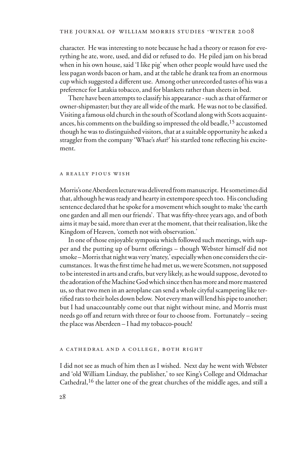character. He was interesting to note because he had a theory or reason for everything he ate, wore, used, and did or refused to do. He piled jam on his bread when in his own house, said 'I like pig' when other people would have used the less pagan words bacon or ham, and at the table he drank tea from an enormous cup which suggested a different use. Among other unrecorded tastes of his was a preference for Latakia tobacco, and for blankets rather than sheets in bed.

There have been attempts to classify his appearance - such as that of farmer or owner-shipmaster; but they are all wide of the mark. He was not to be classified. Visiting a famous old church in the south of Scotland along with Scots acquaintances, his comments on the building so impressed the old beadle,<sup>15</sup> accustomed though he was to distinguished visitors, that at a suitable opportunity he asked a straggler from the company 'Whae's *that*?' his startled tone reflecting his excitement.

#### a really pious wish

Morris's one Aberdeen lecture was delivered from manuscript. He sometimes did that, although he was ready and hearty in extempore speech too. His concluding sentence declared that he spoke for a movement which sought to make 'the earth one garden and all men our friends'. That was fifty-three years ago, and of both aims it may be said, more than ever at the moment, that their realisation, like the Kingdom of Heaven, 'cometh not with observation.'

In one of those enjoyable symposia which followed such meetings, with supper and the putting up of burnt offerings – though Webster himself did not smoke – Morris that night was very 'matey,' especially when one considers the circumstances. It was the first time he had met us, we were Scotsmen, not supposed to be interested in arts and crafts, but very likely, as he would suppose, devoted to the adoration of the Machine God which since then has more and more mastered us, so that two men in an aeroplane can send a whole cityful scampering like terrified rats to their holes down below. Not every man will lend his pipe to another; but I had unaccountably come out that night without mine, and Morris must needs go off and return with three or four to choose from. Fortunately – seeing the place was Aberdeen – I had my tobacco-pouch!

#### a cathedral and a college, both right

I did not see as much of him then as I wished. Next day he went with Webster and 'old William Lindsay, the publisher,' to see King's College and Oldmachar Cathedral,16 the latter one of the great churches of the middle ages, and still a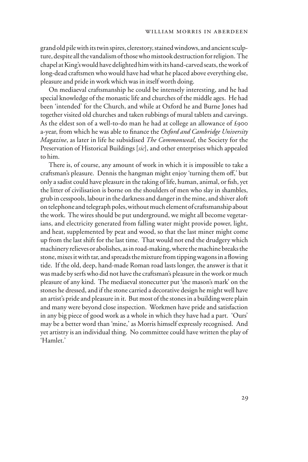grand old pile with its twin spires, clerestory, stained windows, and ancient sculpture, despite all the vandalism of those who mistook destruction for religion. The chapel at King's would have delighted him with its hand-carved seats, the work of long-dead craftsmen who would have had what he placed above everything else, pleasure and pride in work which was in itself worth doing.

On mediaeval craftsmanship he could be intensely interesting, and he had special knowledge of the monastic life and churches of the middle ages. He had been 'intended' for the Church, and while at Oxford he and Burne Jones had together visited old churches and taken rubbings of mural tablets and carvings. As the eldest son of a well-to-do man he had at college an allowance of £900 a-year, from which he was able to finance the *Oxford and Cambridge University Magazine*, as later in life he subsidised *The Commonweal*, the Society for the Preservation of Historical Buildings [*sic*], and other enterprises which appealed to him.

There is, of course, any amount of work in which it is impossible to take a craftsman's pleasure. Dennis the hangman might enjoy 'turning them off,' but only a sadist could have pleasure in the taking of life, human, animal, or fish, yet the litter of civilisation is borne on the shoulders of men who slay in shambles, grub in cesspools, labour in the darkness and danger in the mine, and shiver aloft on telephone and telegraph poles, without much element of craftsmanship about the work. The wires should be put underground, we might all become vegetarians, and electricity generated from falling water might provide power, light, and heat, supplemented by peat and wood, so that the last miner might come up from the last shift for the last time. That would not end the drudgery which machinery relieves or abolishes, as in road-making, where the machine breaks the stone, mixes it with tar, and spreads the mixture from tipping wagons in a flowing tide. If the old, deep, hand-made Roman road lasts longer, the answer is that it was made by serfs who did not have the craftsman's pleasure in the work or much pleasure of any kind. The mediaeval stonecutter put 'the mason's mark' on the stones he dressed, and if the stone carried a decorative design he might well have an artist's pride and pleasure in it. But most of the stones in a building were plain and many were beyond close inspection. Workmen have pride and satisfaction in any big piece of good work as a whole in which they have had a part. 'Ours' may be a better word than 'mine,' as Morris himself expressly recognised. And yet artistry is an individual thing. No committee could have written the play of 'Hamlet.'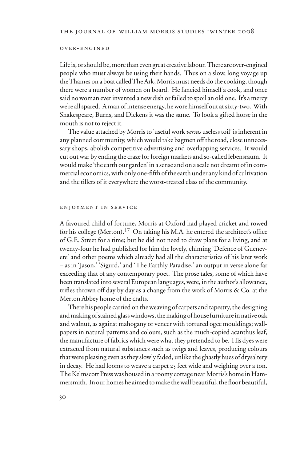#### over-engined

Life is, or should be, more than even great creative labour. There are over-engined people who must always be using their hands. Thus on a slow, long voyage up the Thames on a boat called The Ark, Morris must needs do the cooking, though there were a number of women on board. He fancied himself a cook, and once said no woman ever invented a new dish or failed to spoil an old one. It's a mercy we're all spared. A man of intense energy, he wore himself out at sixty-two. With Shakespeare, Burns, and Dickens it was the same. To look a gifted horse in the mouth is not to reject it.

The value attached by Morris to 'useful work *versus* useless toil' is inherent in any planned community, which would take bagmen off the road, close unnecessary shops, abolish competitive advertising and overlapping services. It would cut out war by ending the craze for foreign markets and so-called lebensraum. It would make 'the earth our garden' in a sense and on a scale not dreamt of in commercial economics, with only one-fifth of the earth under any kind of cultivation and the tillers of it everywhere the worst-treated class of the community.

#### enjoyment in service

A favoured child of fortune, Morris at Oxford had played cricket and rowed for his college (Merton).<sup>17</sup> On taking his M.A. he entered the architect's office of G.E. Street for a time; but he did not need to draw plans for a living, and at twenty-four he had published for him the lovely, chiming 'Defence of Guenevere' and other poems which already had all the characteristics of his later work – as in 'Jason,' 'Sigurd,' and 'The Earthly Paradise,' an output in verse alone far exceeding that of any contemporary poet. The prose tales, some of which have been translated into several European languages, were, in the author's allowance, trifles thrown off day by day as a change from the work of Morris  $\&$  Co. at the Merton Abbey home of the crafts.

There his people carried on the weaving of carpets and tapestry, the designing and making of stained glass windows, the making of house furniture in native oak and walnut, as against mahogany or veneer with tortured ogee mouldings; wallpapers in natural patterns and colours, such as the much-copied acanthus leaf, the manufacture of fabrics which were what they pretended to be. His dyes were extracted from natural substances such as twigs and leaves, producing colours that were pleasing even as they slowly faded, unlike the ghastly hues of drysaltery in decay. He had looms to weave a carpet 25 feet wide and weighing over a ton. The Kelmscott Press was housed in a roomy cottage near Morris's home in Hammersmith. In our homes he aimed to make the wall beautiful, the floor beautiful,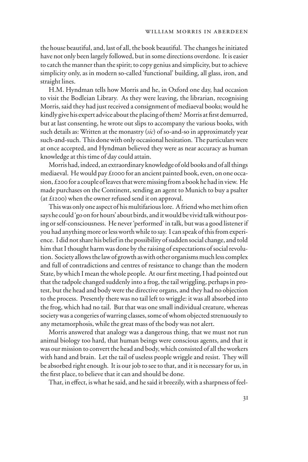the house beautiful, and, last of all, the book beautiful. The changes he initiated have not only been largely followed, but in some directions overdone. It is easier to catch the manner than the spirit; to copy genius and simplicity, but to achieve simplicity only, as in modern so-called 'functional' building, all glass, iron, and straight lines.

H.M. Hyndman tells how Morris and he, in Oxford one day, had occasion to visit the Bodleian Library. As they were leaving, the librarian, recognising Morris, said they had just received a consignment of mediaeval books; would he kindly give his expert advice about the placing of them? Morris at first demurred, but at last consenting, he wrote out slips to accompany the various books, with such details as: Written at the monastry (*sic*) of so-and-so in approximately year such-and-such. This done with only occasional hesitation. The particulars were at once accepted, and Hyndman believed they were as near accuracy as human knowledge at this time of day could attain.

Morris had, indeed, an extraordinary knowledge of old books and of all things mediaeval. He would pay £1000 for an ancient painted book, even, on one occasion, £200 for a couple of leaves that were missing from a book he had in view. He made purchases on the Continent, sending an agent to Munich to buy a psalter (at £1200) when the owner refused send it on approval.

This was only one aspect of his multifarious lore. A friend who met him often says he could 'go on for hours' about birds, and it would be vivid talk without posing or self-consciousness. He never 'performed' in talk, but was a good listener if you had anything more or less worth while to say. I can speak of this from experience. I did not share his belief in the possibility of sudden social change, and told him that I thought harm was done by the raising of expectations of social revolution. Society allows the law of growth as with other organisms much less complex and full of contradictions and centres of resistance to change than the modern State, by which I mean the whole people. At our first meeting, I had pointed out that the tadpole changed suddenly into a frog, the tail wriggling, perhaps in protest, but the head and body were the directive organs, and they had no objection to the process. Presently there was no tail left to wriggle: it was all absorbed into the frog, which had no tail. But that was one small individual creature, whereas society was a congeries of warring classes, some of whom objected strenuously to any metamorphosis, while the great mass of the body was not alert.

Morris answered that analogy was a dangerous thing, that we must not run animal biology too hard, that human beings were conscious agents, and that it was our mission to convert the head and body, which consisted of all the workers with hand and brain. Let the tail of useless people wriggle and resist. They will be absorbed right enough. It is our job to see to that, and it is necessary for us, in the first place, to believe that it can and should be done.

That, in effect, is what he said, and he said it breezily, with a sharpness of feel-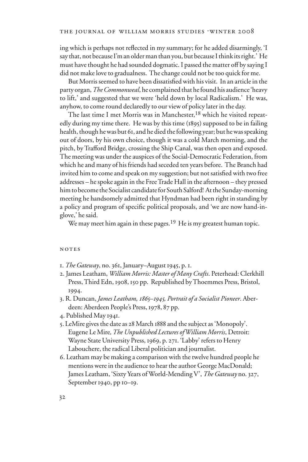ing which is perhaps not reflected in my summary; for he added disarmingly, 'I say that, not because I'm an older man than you, but because I think its right.' He must have thought he had sounded dogmatic. I passed the matter off by saying I did not make love to gradualness. The change could not be too quick for me.

But Morris seemed to have been dissatisfied with his visit. In an article in the party organ, *The Commonweal*, he complained that he found his audience 'heavy to lift,' and suggested that we were 'held down by local Radicalism.' He was, anyhow, to come round declaredly to our view of policy later in the day.

The last time I met Morris was in Manchester,<sup>18</sup> which he visited repeatedly during my time there. He was by this time (1895) supposed to be in failing health, though he was but 61, and he died the following year; but he was speaking out of doors, by his own choice, though it was a cold March morning, and the pitch, by Trafford Bridge, crossing the Ship Canal, was then open and exposed. The meeting was under the auspices of the Social-Democratic Federation, from which he and many of his friends had seceded ten years before. The Branch had invited him to come and speak on my suggestion; but not satisfied with two free addresses – he spoke again in the Free Trade Hall in the afternoon – they pressed him to become the Socialist candidate for South Salford! At the Sunday-morning meeting he handsomely admitted that Hyndman had been right in standing by a policy and program of specific political proposals, and 'we are now hand-inglove,' he said.

We may meet him again in these pages.<sup>19</sup> He is my greatest human topic.

### **NOTES**

- 1. *The Gateway*, no. 361, January–August 1945, p. 1.
- 2. James Leatham, *William Morris: Master of Many Crafts*. Peterhead: Clerkhill Press, Third Edn, 1908, 150 pp. Republished by Thoemmes Press, Bristol, 1994.
- 3. R. Duncan, *James Leatham, 1865–1945, Portrait of a Socialist Pioneer*. Aberdeen: Aberdeen People's Press, 1978, 87 pp.
- 4. Published May 1941.
- 5. LeMire gives the date as 28 March 1888 and the subject as 'Monopoly'. Eugene Le Mire*, The Unpublished Lectures of William Morris*, Detroit: Wayne State University Press, 1969, p. 271. 'Labby' refers to Henry Labouchere, the radical Liberal politician and journalist.
- 6. Leatham may be making a comparison with the twelve hundred people he mentions were in the audience to hear the author George MacDonald; James Leatham, 'Sixty Years of World-Mending V', *The Gateway* no. 327, September 1940, pp 10–19.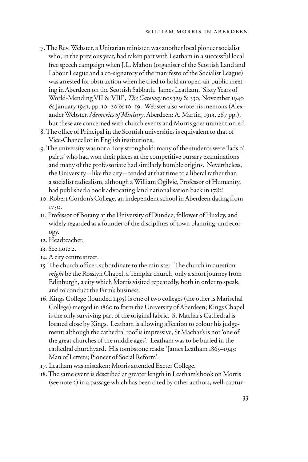- 7. The Rev. Webster, a Unitarian minister, was another local pioneer socialist who, in the previous year, had taken part with Leatham in a successful local free speech campaign when J.L. Mahon (organiser of the Scottish Land and Labour League and a co-signatory of the manifesto of the Socialist League) was arrested for obstruction when he tried to hold an open-air public meeting in Aberdeen on the Scottish Sabbath. James Leatham, 'Sixty Years of World-Mending VII & VIII', *The Gateway* nos 329 & 330, November 1940 & January 1941, pp. 10–20 & 10–19. Webster also wrote his memoirs (Alexander Webster, *Memories of Ministry*. Aberdeen: A. Martin, 1913, 267 pp.), but these are concerned with church events and Morris goes unmention.ed.
- 8. The office of Principal in the Scottish universities is equivalent to that of Vice-Chancellor in English institutions.
- 9. The university was not a Tory stronghold: many of the students were 'lads o' pairts' who had won their places at the competitive bursary examinations and many of the professoriate had similarly humble origins. Nevertheless, the University – like the city – tended at that time to a liberal rather than a socialist radicalism, although a William Ogilvie, Professor of Humanity, had published a book advocating land nationalisation back in 1782!
- 10. Robert Gordon's College, an independent school in Aberdeen dating from 1750.
- 11. Professor of Botany at the University of Dundee, follower of Huxley, and widely regarded as a founder of the disciplines of town planning, and ecology.
- 12. Headteacher.
- 13. See note 2.
- 14. A city centre street.
- 15. The church officer, subordinate to the minister. The church in question *might* be the Rosslyn Chapel, a Templar church, only a short journey from Edinburgh, a city which Morris visited repeatedly, both in order to speak, and to conduct the Firm's business.
- 16. Kings College (founded 1495) is one of two colleges (the other is Marischal College) merged in 1860 to form the University of Aberdeen; Kings Chapel is the only surviving part of the original fabric. St Machar's Cathedral is located close by Kings. Leatham is allowing affection to colour his judgement: although the cathedral roof is impressive, St Machar's is not 'one of the great churches of the middle ages'. Leatham was to be buried in the cathedral churchyard. His tombstone reads: 'James Leatham 1865–1945: Man of Letters; Pioneer of Social Reform'.
- 17. Leatham was mistaken: Morris attended Exeter College.
- 18. The same event is described at greater length in Leatham's book on Morris (see note 2) in a passage which has been cited by other authors, well-captur-